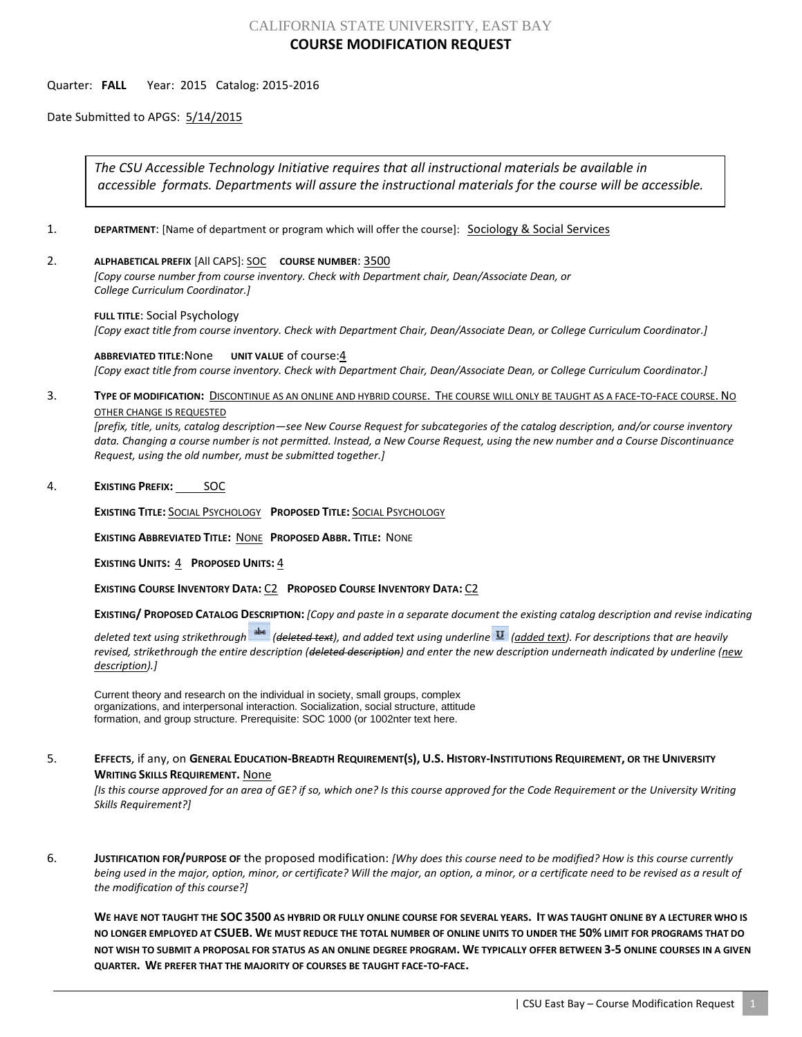# CALIFORNIA STATE UNIVERSITY, EAST BAY **COURSE MODIFICATION REQUEST**

## Quarter: **FALL** Year: 2015 Catalog: 2015-2016

Date Submitted to APGS: 5/14/2015

*The CSU Accessible Technology Initiative requires that all instructional materials be available in accessible formats. Departments will assure the instructional materials for the course will be accessible.*

- 1. **DEPARTMENT:** [Name of department or program which will offer the course]: **Sociology & Social Services**
- 2. **ALPHABETICAL PREFIX** [All CAPS]: SOC **COURSE NUMBER**: 3500

*[Copy course number from course inventory. Check with Department chair, Dean/Associate Dean, or College Curriculum Coordinator.]* 

**FULL TITLE**: Social Psychology *[Copy exact title from course inventory. Check with Department Chair, Dean/Associate Dean, or College Curriculum Coordinator.]*

**ABBREVIATED TITLE**:None **UNIT VALUE** of course:4 *[Copy exact title from course inventory. Check with Department Chair, Dean/Associate Dean, or College Curriculum Coordinator.]*

3. **TYPE OF MODIFICATION:** DISCONTINUE AS AN ONLINE AND HYBRID COURSE. THE COURSE WILL ONLY BE TAUGHT AS A FACE-TO-FACE COURSE. NO OTHER CHANGE IS REQUESTED

*[prefix, title, units, catalog description—see New Course Request for subcategories of the catalog description, and/or course inventory data. Changing a course number is not permitted. Instead, a New Course Request, using the new number and a Course Discontinuance Request, using the old number, must be submitted together.]*

4. **EXISTING PREFIX:** SOC

**EXISTING TITLE:** SOCIAL PSYCHOLOGY **PROPOSED TITLE:** SOCIAL PSYCHOLOGY

**EXISTING ABBREVIATED TITLE:** NONE **PROPOSED ABBR. TITLE:** NONE

**EXISTING UNITS:** 4 **PROPOSED UNITS:** 4

**EXISTING COURSE INVENTORY DATA:** C2 **PROPOSED COURSE INVENTORY DATA:** C2

**EXISTING/ PROPOSED CATALOG DESCRIPTION:** *[Copy and paste in a separate document the existing catalog description and revise indicating* 

*deleted text using strikethrough (deleted text), and added text using underline (added text). For descriptions that are heavily revised, strikethrough the entire description (deleted description) and enter the new description underneath indicated by underline (new description).]*

Current theory and research on the individual in society, small groups, complex organizations, and interpersonal interaction. Socialization, social structure, attitude formation, and group structure. Prerequisite: SOC 1000 (or 1002nter text here.

## 5. EFFECTS, if any, on GENERAL EDUCATION-BREADTH REQUIREMENT(S), U.S. HISTORY-INSTITUTIONS REQUIREMENT, OR THE UNIVERSITY **WRITING SKILLS REQUIREMENT.** None

*[Is this course approved for an area of GE? if so, which one? Is this course approved for the Code Requirement or the University Writing Skills Requirement?]*

6. **JUSTIFICATION FOR/PURPOSE OF** the proposed modification: *[Why does this course need to be modified? How is this course currently being used in the major, option, minor, or certificate? Will the major, an option, a minor, or a certificate need to be revised as a result of the modification of this course?]*

**WE HAVE NOT TAUGHT THE SOC 3500 AS HYBRID OR FULLY ONLINE COURSE FOR SEVERAL YEARS. IT WAS TAUGHT ONLINE BY A LECTURER WHO IS NO LONGER EMPLOYED AT CSUEB. WE MUST REDUCE THE TOTAL NUMBER OF ONLINE UNITS TO UNDER THE 50% LIMIT FOR PROGRAMS THAT DO NOT WISH TO SUBMIT A PROPOSAL FOR STATUS AS AN ONLINE DEGREE PROGRAM. WE TYPICALLY OFFER BETWEEN 3-5 ONLINE COURSES IN A GIVEN QUARTER. WE PREFER THAT THE MAJORITY OF COURSES BE TAUGHT FACE-TO-FACE.**